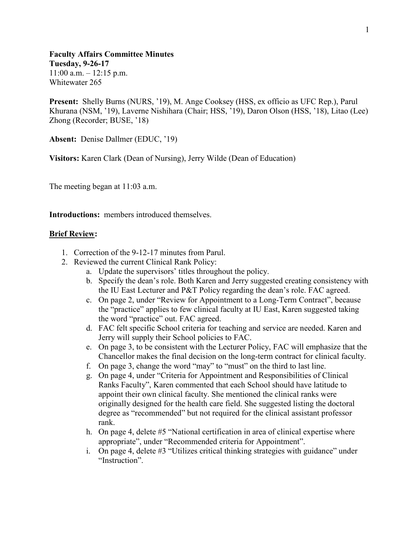**Faculty Affairs Committee Minutes Tuesday, 9-26-17**  $11:00$  a.m.  $-12:15$  p.m. Whitewater 265

**Present:** Shelly Burns (NURS, '19), M. Ange Cooksey (HSS, ex officio as UFC Rep.), Parul Khurana (NSM, '19), Laverne Nishihara (Chair; HSS, '19), Daron Olson (HSS, '18), Litao (Lee) Zhong (Recorder; BUSE, '18)

**Absent:** Denise Dallmer (EDUC, '19)

**Visitors:** Karen Clark (Dean of Nursing), Jerry Wilde (Dean of Education)

The meeting began at 11:03 a.m.

**Introductions:** members introduced themselves.

## **Brief Review:**

- 1. Correction of the 9-12-17 minutes from Parul.
- 2. Reviewed the current Clinical Rank Policy:
	- a. Update the supervisors' titles throughout the policy.
	- b. Specify the dean's role. Both Karen and Jerry suggested creating consistency with the IU East Lecturer and P&T Policy regarding the dean's role. FAC agreed.
	- c. On page 2, under "Review for Appointment to a Long-Term Contract", because the "practice" applies to few clinical faculty at IU East, Karen suggested taking the word "practice" out. FAC agreed.
	- d. FAC felt specific School criteria for teaching and service are needed. Karen and Jerry will supply their School policies to FAC.
	- e. On page 3, to be consistent with the Lecturer Policy, FAC will emphasize that the Chancellor makes the final decision on the long-term contract for clinical faculty.
	- f. On page 3, change the word "may" to "must" on the third to last line.
	- g. On page 4, under "Criteria for Appointment and Responsibilities of Clinical Ranks Faculty", Karen commented that each School should have latitude to appoint their own clinical faculty. She mentioned the clinical ranks were originally designed for the health care field. She suggested listing the doctoral degree as "recommended" but not required for the clinical assistant professor rank.
	- h. On page 4, delete #5 "National certification in area of clinical expertise where appropriate", under "Recommended criteria for Appointment".
	- i. On page 4, delete #3 "Utilizes critical thinking strategies with guidance" under "Instruction".